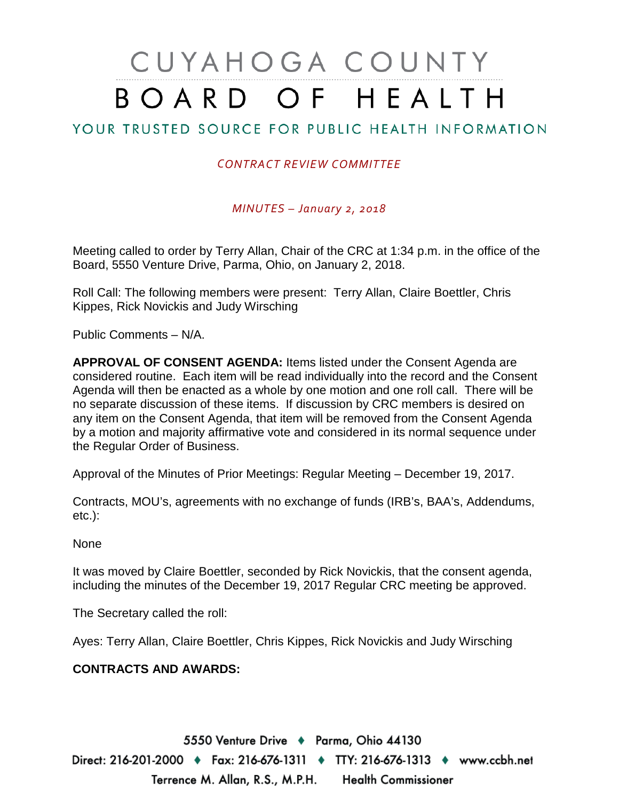# CUYAHOGA COUNTY BOARD OF HEALTH

## YOUR TRUSTED SOURCE FOR PUBLIC HEALTH INFORMATION

### *CONTRACT REVIEW COMMITTEE*

*MINUTES – January 2, 2018*

Meeting called to order by Terry Allan, Chair of the CRC at 1:34 p.m. in the office of the Board, 5550 Venture Drive, Parma, Ohio, on January 2, 2018.

Roll Call: The following members were present: Terry Allan, Claire Boettler, Chris Kippes, Rick Novickis and Judy Wirsching

Public Comments – N/A.

**APPROVAL OF CONSENT AGENDA:** Items listed under the Consent Agenda are considered routine. Each item will be read individually into the record and the Consent Agenda will then be enacted as a whole by one motion and one roll call. There will be no separate discussion of these items. If discussion by CRC members is desired on any item on the Consent Agenda, that item will be removed from the Consent Agenda by a motion and majority affirmative vote and considered in its normal sequence under the Regular Order of Business.

Approval of the Minutes of Prior Meetings: Regular Meeting – December 19, 2017.

Contracts, MOU's, agreements with no exchange of funds (IRB's, BAA's, Addendums, etc.):

None

It was moved by Claire Boettler, seconded by Rick Novickis, that the consent agenda, including the minutes of the December 19, 2017 Regular CRC meeting be approved.

The Secretary called the roll:

Ayes: Terry Allan, Claire Boettler, Chris Kippes, Rick Novickis and Judy Wirsching

#### **CONTRACTS AND AWARDS:**

5550 Venture Drive + Parma, Ohio 44130

Direct: 216-201-2000 ♦ Fax: 216-676-1311 ♦ TTY: 216-676-1313 ♦ www.ccbh.net Terrence M. Allan, R.S., M.P.H. Health Commissioner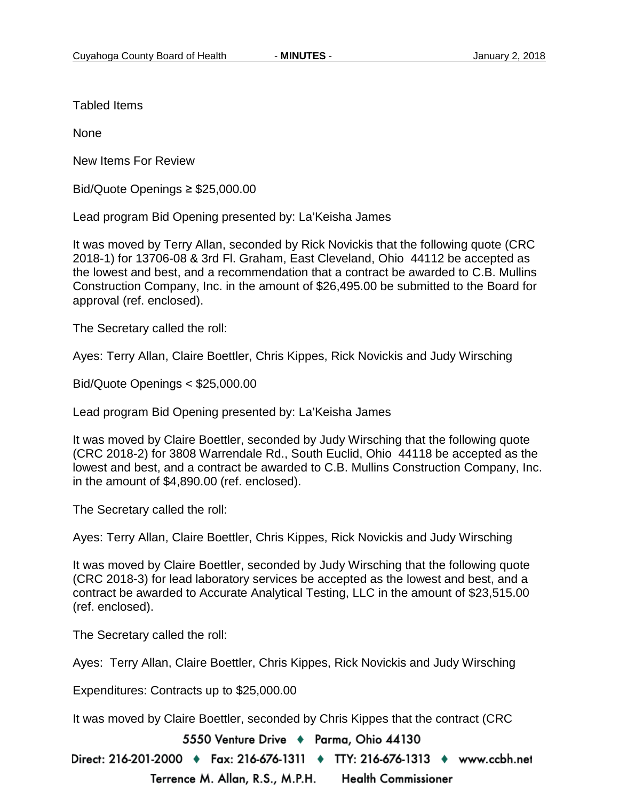Tabled Items

None

New Items For Review

Bid/Quote Openings ≥ \$25,000.00

Lead program Bid Opening presented by: La'Keisha James

It was moved by Terry Allan, seconded by Rick Novickis that the following quote (CRC 2018-1) for 13706-08 & 3rd Fl. Graham, East Cleveland, Ohio 44112 be accepted as the lowest and best, and a recommendation that a contract be awarded to C.B. Mullins Construction Company, Inc. in the amount of \$26,495.00 be submitted to the Board for approval (ref. enclosed).

The Secretary called the roll:

Ayes: Terry Allan, Claire Boettler, Chris Kippes, Rick Novickis and Judy Wirsching

Bid/Quote Openings < \$25,000.00

Lead program Bid Opening presented by: La'Keisha James

It was moved by Claire Boettler, seconded by Judy Wirsching that the following quote (CRC 2018-2) for 3808 Warrendale Rd., South Euclid, Ohio 44118 be accepted as the lowest and best, and a contract be awarded to C.B. Mullins Construction Company, Inc. in the amount of \$4,890.00 (ref. enclosed).

The Secretary called the roll:

Ayes: Terry Allan, Claire Boettler, Chris Kippes, Rick Novickis and Judy Wirsching

It was moved by Claire Boettler, seconded by Judy Wirsching that the following quote (CRC 2018-3) for lead laboratory services be accepted as the lowest and best, and a contract be awarded to Accurate Analytical Testing, LLC in the amount of \$23,515.00 (ref. enclosed).

The Secretary called the roll:

Ayes: Terry Allan, Claire Boettler, Chris Kippes, Rick Novickis and Judy Wirsching

Expenditures: Contracts up to \$25,000.00

It was moved by Claire Boettler, seconded by Chris Kippes that the contract (CRC

5550 Venture Drive + Parma, Ohio 44130

Direct: 216-201-2000 ♦ Fax: 216-676-1311 ♦ TTY: 216-676-1313 ♦ www.ccbh.net Terrence M. Allan, R.S., M.P.H. **Health Commissioner**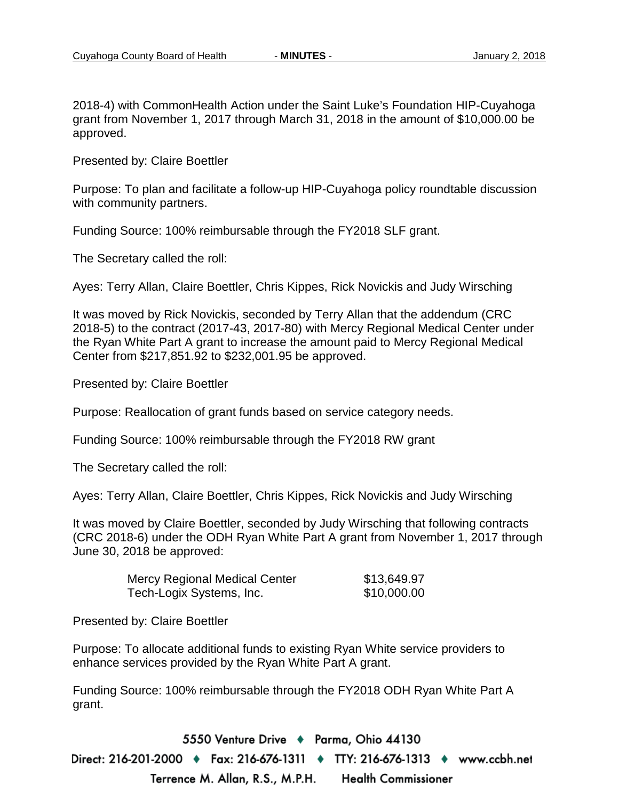2018-4) with CommonHealth Action under the Saint Luke's Foundation HIP-Cuyahoga grant from November 1, 2017 through March 31, 2018 in the amount of \$10,000.00 be approved.

Presented by: Claire Boettler

Purpose: To plan and facilitate a follow-up HIP-Cuyahoga policy roundtable discussion with community partners.

Funding Source: 100% reimbursable through the FY2018 SLF grant.

The Secretary called the roll:

Ayes: Terry Allan, Claire Boettler, Chris Kippes, Rick Novickis and Judy Wirsching

It was moved by Rick Novickis, seconded by Terry Allan that the addendum (CRC 2018-5) to the contract (2017-43, 2017-80) with Mercy Regional Medical Center under the Ryan White Part A grant to increase the amount paid to Mercy Regional Medical Center from \$217,851.92 to \$232,001.95 be approved.

Presented by: Claire Boettler

Purpose: Reallocation of grant funds based on service category needs.

Funding Source: 100% reimbursable through the FY2018 RW grant

The Secretary called the roll:

Ayes: Terry Allan, Claire Boettler, Chris Kippes, Rick Novickis and Judy Wirsching

It was moved by Claire Boettler, seconded by Judy Wirsching that following contracts (CRC 2018-6) under the ODH Ryan White Part A grant from November 1, 2017 through June 30, 2018 be approved:

| <b>Mercy Regional Medical Center</b> | \$13,649.97 |
|--------------------------------------|-------------|
| Tech-Logix Systems, Inc.             | \$10,000.00 |

Presented by: Claire Boettler

Purpose: To allocate additional funds to existing Ryan White service providers to enhance services provided by the Ryan White Part A grant.

Funding Source: 100% reimbursable through the FY2018 ODH Ryan White Part A grant.

5550 Venture Drive + Parma, Ohio 44130 Direct: 216-201-2000 ♦ Fax: 216-676-1311 ♦ TTY: 216-676-1313 ♦ www.ccbh.net Terrence M. Allan, R.S., M.P.H. **Health Commissioner**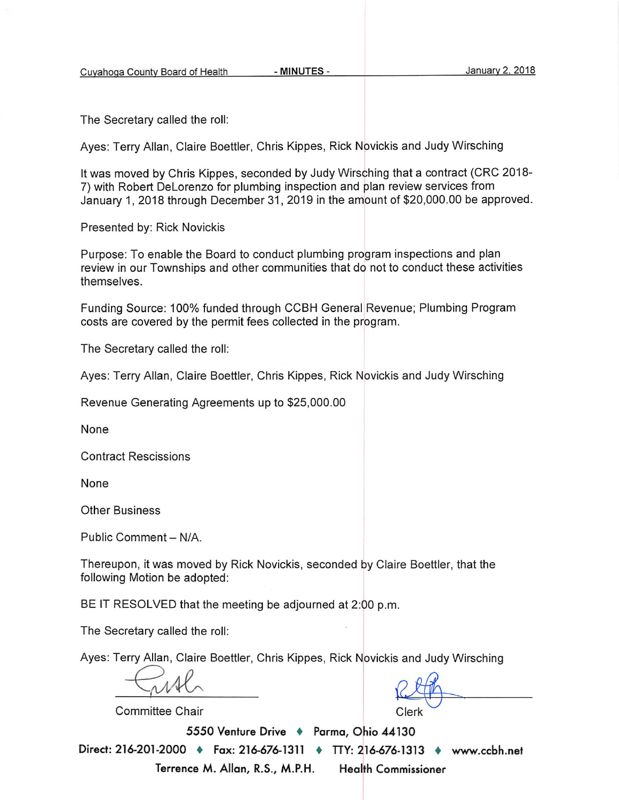The Secretary called the roll:

Ayes: Terry Allan, Claire Boettler, Chris Kippes, Rick Novickis and Judy Wirsching

It was moved by Chris Kippes, seconded by Judy Wirsching that a contract (CRC 2018-7) with Robert DeLorenzo for plumbing inspection and plan review services from January 1, 2018 through December 31, 2019 in the amount of \$20,000.00 be approved.

Presented by: Rick Novickis

Purpose: To enable the Board to conduct plumbing program inspections and plan review in our Townships and other communities that do not to conduct these activities themselves.

Funding Source: 100% funded through CCBH General Revenue; Plumbing Program costs are covered by the permit fees collected in the program.

The Secretary called the roll:

Ayes: Terry Allan, Claire Boettler, Chris Kippes, Rick Novickis and Judy Wirsching

Revenue Generating Agreements up to \$25,000.00

None

**Contract Rescissions** 

None

**Other Business** 

Public Comment - N/A.

Thereupon, it was moved by Rick Novickis, seconded by Claire Boettler, that the following Motion be adopted:

BE IT RESOLVED that the meeting be adjourned at 2:00 p.m.

The Secretary called the roll:

Ayes: Terry Allan, Claire Boettler, Chris Kippes, Rick Novickis and Judy Wirsching

Committee Chair

Clerk

5550 Venture Drive + Parma, Ohio 44130

Direct: 216-201-2000 ♦ Fax: 216-676-1311 ♦ TTY: 216-676-1313 ♦ www.ccbh.net Terrence M. Allan, R.S., M.P.H. **Health Commissioner**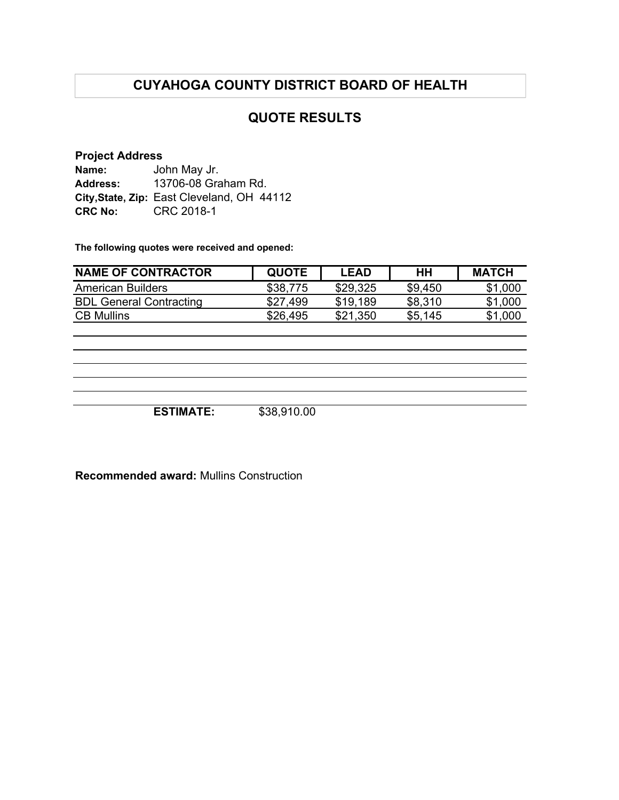# **CUYAHOGA COUNTY DISTRICT BOARD OF HEALTH**

## **QUOTE RESULTS**

#### **Project Address**

| Name:           | John May Jr.                               |
|-----------------|--------------------------------------------|
| <b>Address:</b> | 13706-08 Graham Rd.                        |
|                 | City, State, Zip: East Cleveland, OH 44112 |
| <b>CRC No:</b>  | CRC 2018-1                                 |

**The following quotes were received and opened:**

| <b>NAME OF CONTRACTOR</b>      | <b>QUOTE</b> | LEAD     | HH      | <b>MATCH</b> |
|--------------------------------|--------------|----------|---------|--------------|
| American Builders              | \$38,775     | \$29,325 | \$9,450 | \$1,000      |
| <b>BDL General Contracting</b> | \$27.499     | \$19,189 | \$8,310 | \$1,000      |
| <b>CB Mullins</b>              | \$26,495     | \$21,350 | \$5.145 | \$1,000      |

**ESTIMATE:** \$38,910.00

**Recommended award:** Mullins Construction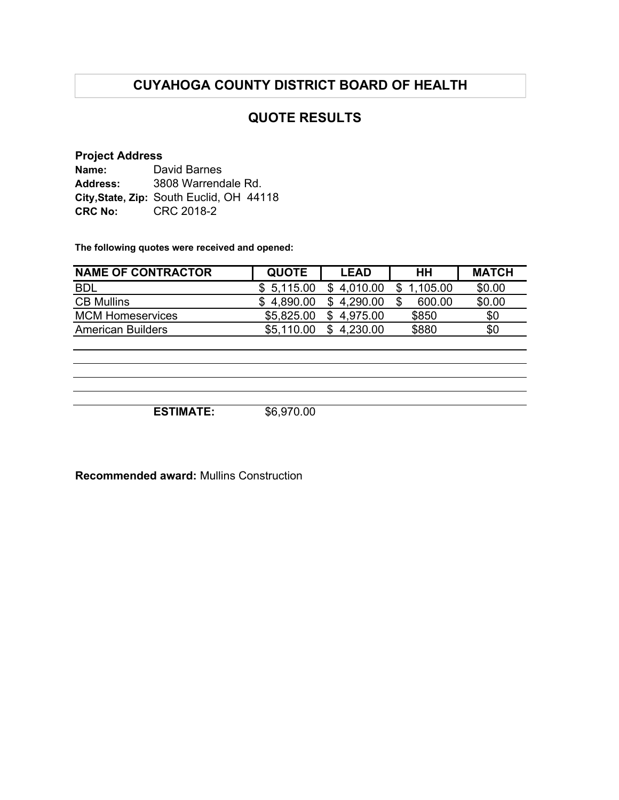# **CUYAHOGA COUNTY DISTRICT BOARD OF HEALTH**

## **QUOTE RESULTS**

#### **Project Address**

| Name:          | David Barnes                             |
|----------------|------------------------------------------|
| Address:       | 3808 Warrendale Rd.                      |
|                | City, State, Zip: South Euclid, OH 44118 |
| <b>CRC No:</b> | CRC 2018-2                               |

**The following quotes were received and opened:**

| <b>NAME OF CONTRACTOR</b> | <b>QUOTE</b> | <b>LEAD</b>    | HН       | <b>MATCH</b> |
|---------------------------|--------------|----------------|----------|--------------|
| <b>BDL</b>                | \$5,115.00   | 4,010.00<br>\$ | 1,105.00 | \$0.00       |
| <b>CB Mullins</b>         | \$4,890.00   | 4,290.00<br>S  | 600.00   | \$0.00       |
| <b>MCM Homeservices</b>   | \$5,825.00   | \$4,975.00     | \$850    | \$0          |
| <b>American Builders</b>  | \$5,110.00   | \$4,230.00     | \$880    | \$0          |
|                           |              |                |          |              |
|                           |              |                |          |              |
|                           |              |                |          |              |
|                           |              |                |          |              |

**ESTIMATE:** \$6,970.00

**Recommended award:** Mullins Construction